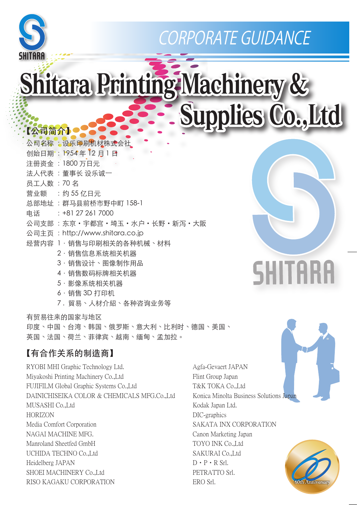

# CORPORATE GUIDANCE

# Shitara Printing Machinery & Supplies Co., Ltd

# 【公司简介】

|          | 公司名称 :设乐印刷机材株式会社               |
|----------|--------------------------------|
|          | 创始日期: 1954年12月1日               |
|          | 注册资金: 1800 万日元                 |
|          | 法人代表 :董事长 设乐诚一                 |
| 员工人数:70名 |                                |
|          | 营业额 : 约 55 亿日元                 |
|          | 总部地址 : 群马县前桥市野中町 158-1         |
|          | 电话: +81 27 261 7000            |
|          | 公司支部 :东京・宇都宫・埼玉・水户・长野・新泻・大阪    |
|          | 公司主页: http://www.shitara.co.jp |
|          | 经营内容 1.销售与印刷相关的各种机械、材料         |
|          | 2 ・销售信息系统相关机器                  |
|          | 3.销售设计、图像制作用品                  |
|          | 4.销售数码标牌相关机器                   |
|          | 5 · 影像系统相关机器                   |
|          | ムレム へへ ニーー                     |

#### 6.销售 3D 打印机

7 . 貿易、人材介紹、各种咨询业务等

有贸易往来的国家与地区 印度、中国、台湾、韩国、俄罗斯、意大利、比利时、德国、美国、 英国、法国、荷兰、菲律宾、越南、缅甸、孟加拉。

#### 【有合作关系的制造商】

RYOBI MHI Graphic Technology Ltd. Miyakoshi Printing Machinery Co.,Ltd FUJIFILM Global Graphic Systems Co.,Ltd DAINICHISEIKA COLOR & CHEMICALS MFG.Co.,Ltd MUSASHI Co.,Ltd HORIZON Media Comfort Corporation NAGAI MACHINE MFG. Manroland Sheetfed GmbH UCHIDA TECHNO Co.,Ltd Heidelberg JAPAN SHOEI MACHINERY Co.,Ltd RISO KAGAKU CORPORATION

#### Agfa-Gevaert JAPAN Flint Group Japan T&K TOKA Co.,Ltd Konica Minolta Business Solutions Japan Kodak Japan Ltd. DIC-graphics SAKATA INX CORPORATION Canon Marketing Japan TOYO INK Co.,Ltd SAKURAI Co.,Ltd D・P・R Srl. PETRATTO Srl. ERO Srl.